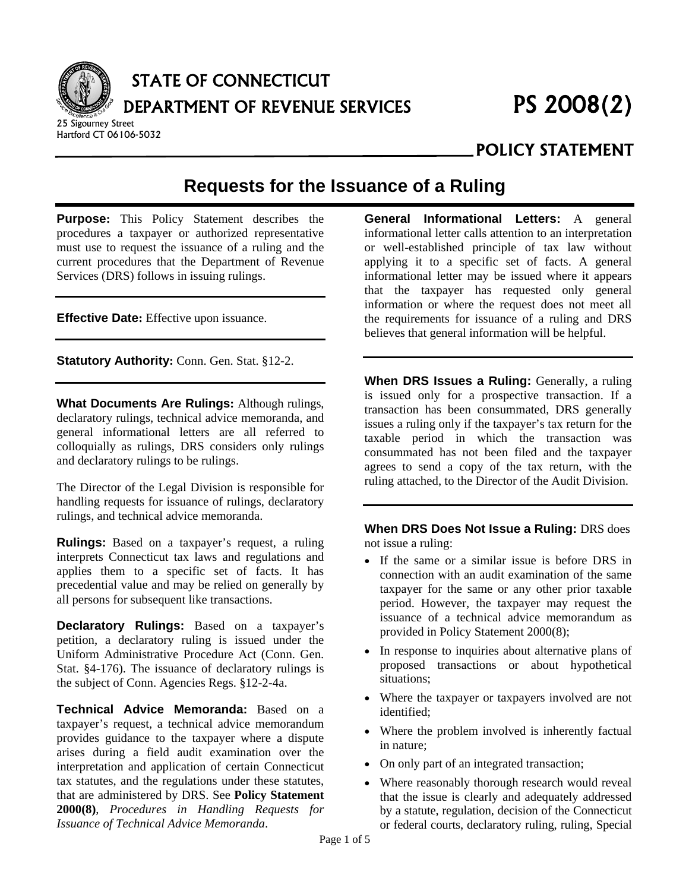

# STATE OF CONNECTICUT DEPARTMENT OF REVENUE SERVICES PS 2008(2)

25 Sigourney Street Hartford CT 06106-5032

 **POLICY STATEMENT** 

## **Requests for the Issuance of a Ruling**

**Purpose:** This Policy Statement describes the procedures a taxpayer or authorized representative must use to request the issuance of a ruling and the current procedures that the Department of Revenue Services (DRS) follows in issuing rulings.

**Effective Date:** Effective upon issuance.

**Statutory Authority: Conn. Gen. Stat. §12-2.** 

**What Documents Are Rulings:** Although rulings, declaratory rulings, technical advice memoranda, and general informational letters are all referred to colloquially as rulings, DRS considers only rulings and declaratory rulings to be rulings.

The Director of the Legal Division is responsible for handling requests for issuance of rulings, declaratory rulings, and technical advice memoranda.

**Rulings:** Based on a taxpayer's request, a ruling interprets Connecticut tax laws and regulations and applies them to a specific set of facts. It has precedential value and may be relied on generally by all persons for subsequent like transactions.

**Declaratory Rulings:** Based on a taxpayer's petition, a declaratory ruling is issued under the Uniform Administrative Procedure Act (Conn. Gen. Stat. §4-176). The issuance of declaratory rulings is the subject of Conn. Agencies Regs. §12-2-4a.

**Technical Advice Memoranda:** Based on a taxpayer's request, a technical advice memorandum provides guidance to the taxpayer where a dispute arises during a field audit examination over the interpretation and application of certain Connecticut tax statutes, and the regulations under these statutes, that are administered by DRS. See **Policy Statement 2000(8)**, *Procedures in Handling Requests for Issuance of Technical Advice Memoranda*.

**General Informational Letters:** A general informational letter calls attention to an interpretation or well-established principle of tax law without applying it to a specific set of facts. A general informational letter may be issued where it appears that the taxpayer has requested only general information or where the request does not meet all the requirements for issuance of a ruling and DRS believes that general information will be helpful.

**When DRS Issues a Ruling:** Generally, a ruling is issued only for a prospective transaction. If a transaction has been consummated, DRS generally issues a ruling only if the taxpayer's tax return for the taxable period in which the transaction was consummated has not been filed and the taxpayer agrees to send a copy of the tax return, with the ruling attached, to the Director of the Audit Division.

**When DRS Does Not Issue a Ruling:** DRS does not issue a ruling:

- If the same or a similar issue is before DRS in connection with an audit examination of the same taxpayer for the same or any other prior taxable period. However, the taxpayer may request the issuance of a technical advice memorandum as provided in Policy Statement 2000(8);
- In response to inquiries about alternative plans of proposed transactions or about hypothetical situations;
- Where the taxpayer or taxpayers involved are not identified;
- Where the problem involved is inherently factual in nature;
- On only part of an integrated transaction;
- Where reasonably thorough research would reveal that the issue is clearly and adequately addressed by a statute, regulation, decision of the Connecticut or federal courts, declaratory ruling, ruling, Special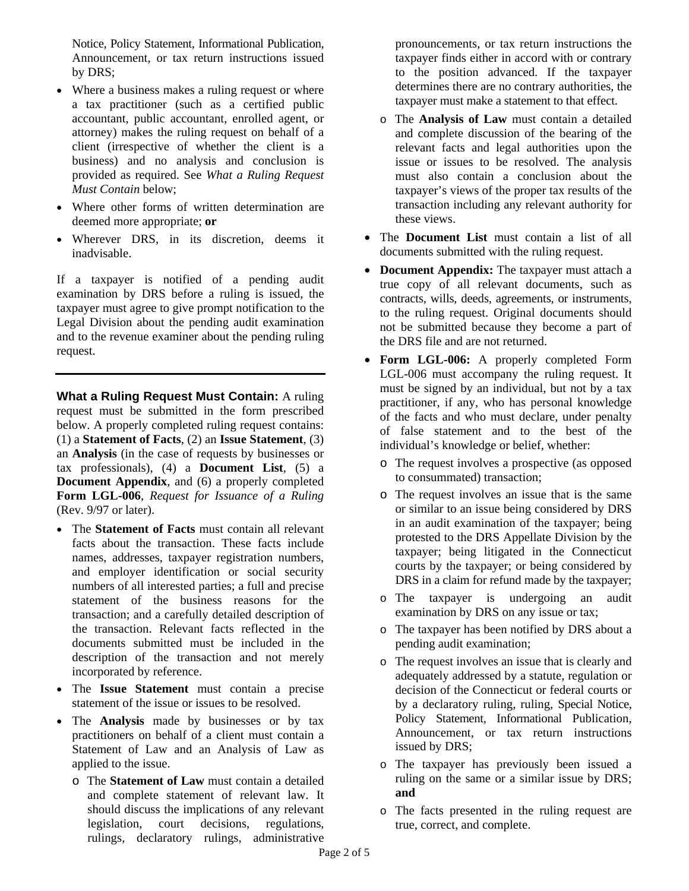Notice, Policy Statement, Informational Publication, Announcement, or tax return instructions issued by DRS;

- Where a business makes a ruling request or where a tax practitioner (such as a certified public accountant, public accountant, enrolled agent, or attorney) makes the ruling request on behalf of a client (irrespective of whether the client is a business) and no analysis and conclusion is provided as required. See *What a Ruling Request Must Contain* below;
- Where other forms of written determination are deemed more appropriate; **or**
- Wherever DRS, in its discretion, deems it inadvisable.

If a taxpayer is notified of a pending audit examination by DRS before a ruling is issued, the taxpayer must agree to give prompt notification to the Legal Division about the pending audit examination and to the revenue examiner about the pending ruling request.

**What a Ruling Request Must Contain:** A ruling request must be submitted in the form prescribed below. A properly completed ruling request contains: (1) a **Statement of Facts**, (2) an **Issue Statement**, (3) an **Analysis** (in the case of requests by businesses or tax professionals), (4) a **Document List**, (5) a **Document Appendix**, and (6) a properly completed **Form LGL-006**, *Request for Issuance of a Ruling* (Rev. 9/97 or later).

- The **Statement of Facts** must contain all relevant facts about the transaction. These facts include names, addresses, taxpayer registration numbers, and employer identification or social security numbers of all interested parties; a full and precise statement of the business reasons for the transaction; and a carefully detailed description of the transaction. Relevant facts reflected in the documents submitted must be included in the description of the transaction and not merely incorporated by reference.
- The **Issue Statement** must contain a precise statement of the issue or issues to be resolved.
- The **Analysis** made by businesses or by tax practitioners on behalf of a client must contain a Statement of Law and an Analysis of Law as applied to the issue.
	- o The **Statement of Law** must contain a detailed and complete statement of relevant law. It should discuss the implications of any relevant legislation, court decisions, regulations, rulings, declaratory rulings, administrative

pronouncements, or tax return instructions the taxpayer finds either in accord with or contrary to the position advanced. If the taxpayer determines there are no contrary authorities, the taxpayer must make a statement to that effect.

- o The **Analysis of Law** must contain a detailed and complete discussion of the bearing of the relevant facts and legal authorities upon the issue or issues to be resolved. The analysis must also contain a conclusion about the taxpayer's views of the proper tax results of the transaction including any relevant authority for these views.
- The **Document List** must contain a list of all documents submitted with the ruling request.
- **Document Appendix:** The taxpayer must attach a true copy of all relevant documents, such as contracts, wills, deeds, agreements, or instruments, to the ruling request. Original documents should not be submitted because they become a part of the DRS file and are not returned.
- **Form LGL-006:** A properly completed Form LGL-006 must accompany the ruling request. It must be signed by an individual, but not by a tax practitioner, if any, who has personal knowledge of the facts and who must declare, under penalty of false statement and to the best of the individual's knowledge or belief, whether:
	- o The request involves a prospective (as opposed to consummated) transaction;
	- o The request involves an issue that is the same or similar to an issue being considered by DRS in an audit examination of the taxpayer; being protested to the DRS Appellate Division by the taxpayer; being litigated in the Connecticut courts by the taxpayer; or being considered by DRS in a claim for refund made by the taxpayer;
	- o The taxpayer is undergoing an audit examination by DRS on any issue or tax;
	- o The taxpayer has been notified by DRS about a pending audit examination;
	- o The request involves an issue that is clearly and adequately addressed by a statute, regulation or decision of the Connecticut or federal courts or by a declaratory ruling, ruling, Special Notice, Policy Statement, Informational Publication, Announcement, or tax return instructions issued by DRS;
	- o The taxpayer has previously been issued a ruling on the same or a similar issue by DRS; **and**
	- o The facts presented in the ruling request are true, correct, and complete.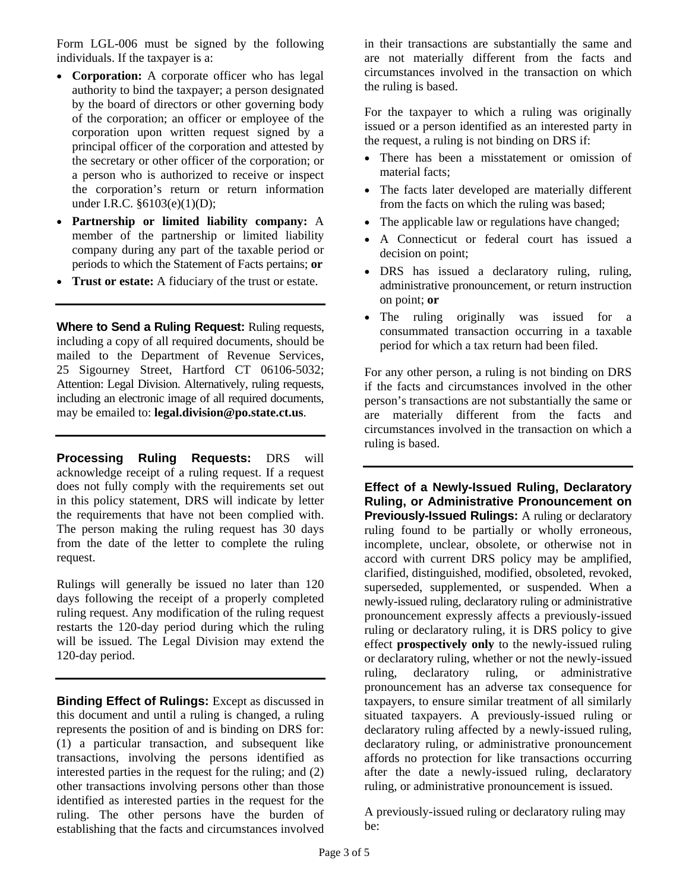Form LGL-006 must be signed by the following individuals. If the taxpayer is a:

- **Corporation:** A corporate officer who has legal authority to bind the taxpayer; a person designated by the board of directors or other governing body of the corporation; an officer or employee of the corporation upon written request signed by a principal officer of the corporation and attested by the secretary or other officer of the corporation; or a person who is authorized to receive or inspect the corporation's return or return information under I.R.C. §6103(e)(1)(D);
- **Partnership or limited liability company:** A member of the partnership or limited liability company during any part of the taxable period or periods to which the Statement of Facts pertains; **or**
- **Trust or estate:** A fiduciary of the trust or estate.

**Where to Send a Ruling Request:** Ruling requests, including a copy of all required documents, should be mailed to the Department of Revenue Services, 25 Sigourney Street, Hartford CT 06106-5032; Attention: Legal Division. Alternatively, ruling requests, including an electronic image of all required documents, may be emailed to: **legal.division@po.state.ct.us**.

**Processing Ruling Requests:** DRS will acknowledge receipt of a ruling request. If a request does not fully comply with the requirements set out in this policy statement, DRS will indicate by letter the requirements that have not been complied with. The person making the ruling request has 30 days from the date of the letter to complete the ruling request.

Rulings will generally be issued no later than 120 days following the receipt of a properly completed ruling request. Any modification of the ruling request restarts the 120-day period during which the ruling will be issued. The Legal Division may extend the 120-day period.

**Binding Effect of Rulings:** Except as discussed in this document and until a ruling is changed, a ruling represents the position of and is binding on DRS for: (1) a particular transaction, and subsequent like transactions, involving the persons identified as interested parties in the request for the ruling; and (2) other transactions involving persons other than those identified as interested parties in the request for the ruling. The other persons have the burden of establishing that the facts and circumstances involved

in their transactions are substantially the same and are not materially different from the facts and circumstances involved in the transaction on which the ruling is based.

For the taxpayer to which a ruling was originally issued or a person identified as an interested party in the request, a ruling is not binding on DRS if:

- There has been a misstatement or omission of material facts;
- The facts later developed are materially different from the facts on which the ruling was based;
- The applicable law or regulations have changed;
- A Connecticut or federal court has issued a decision on point;
- DRS has issued a declaratory ruling, ruling, administrative pronouncement, or return instruction on point; **or**
- The ruling originally was issued for a consummated transaction occurring in a taxable period for which a tax return had been filed.

For any other person, a ruling is not binding on DRS if the facts and circumstances involved in the other person's transactions are not substantially the same or are materially different from the facts and circumstances involved in the transaction on which a ruling is based.

**Effect of a Newly-Issued Ruling, Declaratory Ruling, or Administrative Pronouncement on Previously-Issued Rulings:** A ruling or declaratory ruling found to be partially or wholly erroneous, incomplete, unclear, obsolete, or otherwise not in accord with current DRS policy may be amplified, clarified, distinguished, modified, obsoleted, revoked, superseded, supplemented, or suspended. When a newly-issued ruling, declaratory ruling or administrative pronouncement expressly affects a previously-issued ruling or declaratory ruling, it is DRS policy to give effect **prospectively only** to the newly-issued ruling or declaratory ruling, whether or not the newly-issued ruling, declaratory ruling, or administrative pronouncement has an adverse tax consequence for taxpayers, to ensure similar treatment of all similarly situated taxpayers. A previously-issued ruling or declaratory ruling affected by a newly-issued ruling, declaratory ruling, or administrative pronouncement affords no protection for like transactions occurring after the date a newly-issued ruling, declaratory ruling, or administrative pronouncement is issued.

A previously-issued ruling or declaratory ruling may be: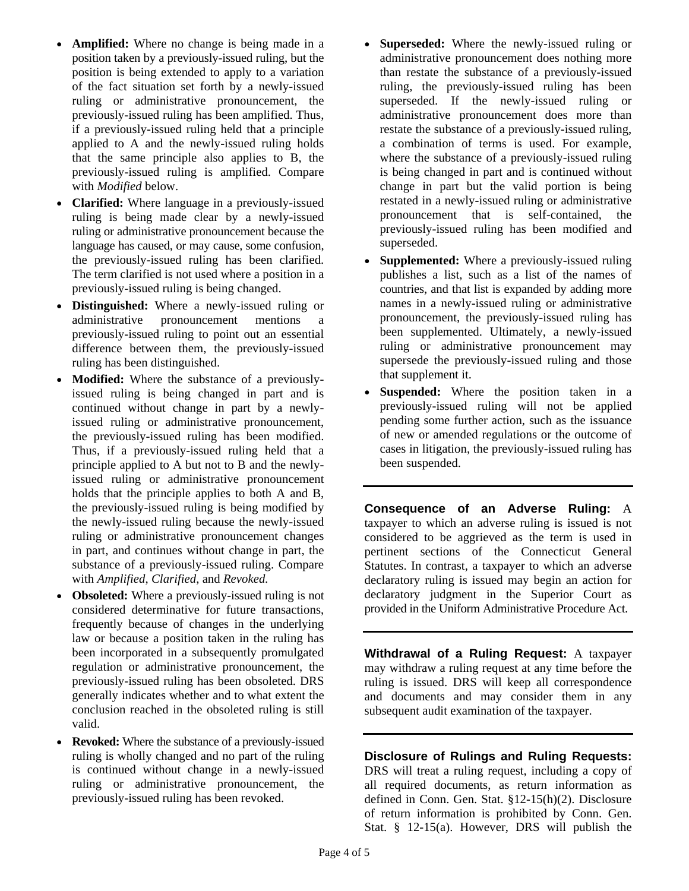- **Amplified:** Where no change is being made in a position taken by a previously-issued ruling, but the position is being extended to apply to a variation of the fact situation set forth by a newly-issued ruling or administrative pronouncement, the previously-issued ruling has been amplified. Thus, if a previously-issued ruling held that a principle applied to A and the newly-issued ruling holds that the same principle also applies to B, the previously-issued ruling is amplified. Compare with *Modified* below.
- **Clarified:** Where language in a previously-issued ruling is being made clear by a newly-issued ruling or administrative pronouncement because the language has caused, or may cause, some confusion, the previously-issued ruling has been clarified. The term clarified is not used where a position in a previously-issued ruling is being changed.
- **Distinguished:** Where a newly-issued ruling or administrative pronouncement mentions a previously-issued ruling to point out an essential difference between them, the previously-issued ruling has been distinguished.
- **Modified:** Where the substance of a previouslyissued ruling is being changed in part and is continued without change in part by a newlyissued ruling or administrative pronouncement, the previously-issued ruling has been modified. Thus, if a previously-issued ruling held that a principle applied to A but not to B and the newlyissued ruling or administrative pronouncement holds that the principle applies to both A and B, the previously-issued ruling is being modified by the newly-issued ruling because the newly-issued ruling or administrative pronouncement changes in part, and continues without change in part, the substance of a previously-issued ruling. Compare with *Amplified*, *Clarified*, and *Revoked.*
- **Obsoleted:** Where a previously-issued ruling is not considered determinative for future transactions, frequently because of changes in the underlying law or because a position taken in the ruling has been incorporated in a subsequently promulgated regulation or administrative pronouncement, the previously-issued ruling has been obsoleted. DRS generally indicates whether and to what extent the conclusion reached in the obsoleted ruling is still valid.
- **Revoked:** Where the substance of a previously-issued ruling is wholly changed and no part of the ruling is continued without change in a newly-issued ruling or administrative pronouncement, the previously-issued ruling has been revoked.
- **Superseded:** Where the newly-issued ruling or administrative pronouncement does nothing more than restate the substance of a previously-issued ruling, the previously-issued ruling has been superseded. If the newly-issued ruling or administrative pronouncement does more than restate the substance of a previously-issued ruling, a combination of terms is used. For example, where the substance of a previously-issued ruling is being changed in part and is continued without change in part but the valid portion is being restated in a newly-issued ruling or administrative pronouncement that is self-contained, the previously-issued ruling has been modified and superseded.
- **Supplemented:** Where a previously-issued ruling publishes a list, such as a list of the names of countries, and that list is expanded by adding more names in a newly-issued ruling or administrative pronouncement, the previously-issued ruling has been supplemented. Ultimately, a newly-issued ruling or administrative pronouncement may supersede the previously-issued ruling and those that supplement it.
- Suspended: Where the position taken in a previously-issued ruling will not be applied pending some further action, such as the issuance of new or amended regulations or the outcome of cases in litigation, the previously-issued ruling has been suspended.

**Consequence of an Adverse Ruling:** A taxpayer to which an adverse ruling is issued is not considered to be aggrieved as the term is used in pertinent sections of the Connecticut General Statutes. In contrast, a taxpayer to which an adverse declaratory ruling is issued may begin an action for declaratory judgment in the Superior Court as provided in the Uniform Administrative Procedure Act.

**Withdrawal of a Ruling Request:** A taxpayer may withdraw a ruling request at any time before the ruling is issued. DRS will keep all correspondence and documents and may consider them in any subsequent audit examination of the taxpayer.

### **Disclosure of Rulings and Ruling Requests:**

DRS will treat a ruling request, including a copy of all required documents, as return information as defined in Conn. Gen. Stat. §12-15(h)(2). Disclosure of return information is prohibited by Conn. Gen. Stat. § 12-15(a). However, DRS will publish the